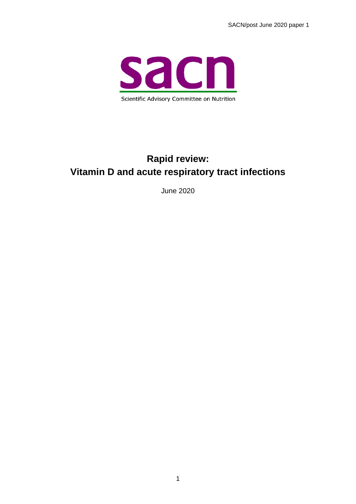

### **Rapid review: Vitamin D and acute respiratory tract infections**

June 2020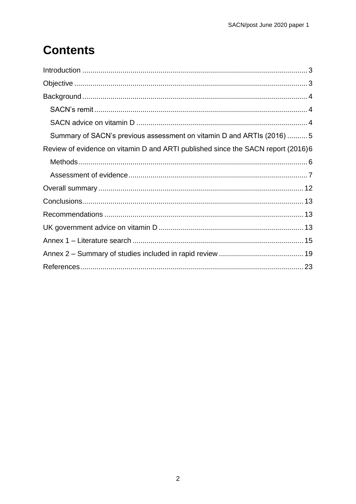# **Contents**

| Summary of SACN's previous assessment on vitamin D and ARTIs (2016)  5           |
|----------------------------------------------------------------------------------|
| Review of evidence on vitamin D and ARTI published since the SACN report (2016)6 |
|                                                                                  |
|                                                                                  |
|                                                                                  |
|                                                                                  |
|                                                                                  |
|                                                                                  |
|                                                                                  |
|                                                                                  |
|                                                                                  |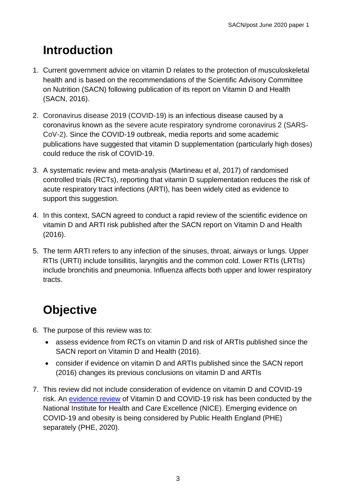## <span id="page-2-0"></span>**Introduction**

- 1. Current government advice on vitamin D relates to the protection of musculoskeletal health and is based on the recommendations of the Scientific Advisory Committee on Nutrition (SACN) following publication of its report on Vitamin D and Health (SACN, 2016).
- 2. Coronavirus disease 2019 (COVID-19) is an infectious disease caused by a coronavirus known as the severe acute respiratory syndrome coronavirus 2 (SARS-CoV-2). Since the COVID-19 outbreak, media reports and some academic publications have suggested that vitamin D supplementation (particularly high doses) could reduce the risk of COVID-19.
- 3. A systematic review and meta-analysis (Martineau et al, 2017) of randomised controlled trials (RCTs), reporting that vitamin D supplementation reduces the risk of acute respiratory tract infections (ARTI), has been widely cited as evidence to support this suggestion.
- 4. In this context, SACN agreed to conduct a rapid review of the scientific evidence on vitamin D and ARTI risk published after the SACN report on Vitamin D and Health (2016).
- 5. The term ARTI refers to any infection of the sinuses, throat, airways or lungs. Upper RTIs (URTI) include tonsillitis, laryngitis and the common cold. Lower RTIs (LRTIs) include bronchitis and pneumonia. Influenza affects both upper and lower respiratory tracts.

# <span id="page-2-1"></span>**Objective**

- 6. The purpose of this review was to:
	- assess evidence from RCTs on vitamin D and risk of ARTIs published since the SACN report on Vitamin D and Health (2016).
	- consider if evidence on vitamin D and ARTIs published since the SACN report (2016) changes its previous conclusions on vitamin D and ARTIs
- 7. This review did not include consideration of evidence on vitamin D and COVID-19 risk. An [evidence review](https://www.nice.org.uk/advice/es28/chapter/Key-messages) of Vitamin D and COVID-19 risk has been conducted by the National Institute for Health and Care Excellence (NICE). Emerging evidence on COVID-19 and obesity is being considered by Public Health England (PHE) separately (PHE, 2020).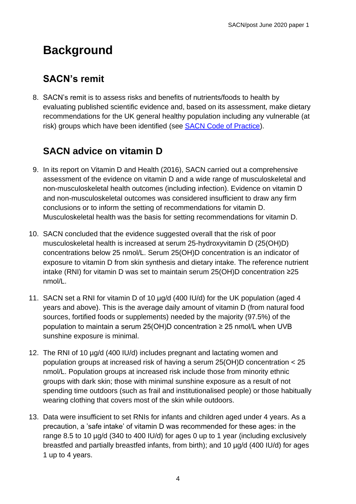## <span id="page-3-0"></span>**Background**

### <span id="page-3-1"></span>**SACN's remit**

8. SACN's remit is to assess risks and benefits of nutrients/foods to health by evaluating published scientific evidence and, based on its assessment, make dietary recommendations for the UK general healthy population including any vulnerable (at risk) groups which have been identified (see **SACN Code of Practice)**.

### <span id="page-3-2"></span>**SACN advice on vitamin D**

- 9. In its report on Vitamin D and Health (2016), SACN carried out a comprehensive assessment of the evidence on vitamin D and a wide range of musculoskeletal and non-musculoskeletal health outcomes (including infection). Evidence on vitamin D and non-musculoskeletal outcomes was considered insufficient to draw any firm conclusions or to inform the setting of recommendations for vitamin D. Musculoskeletal health was the basis for setting recommendations for vitamin D.
- 10. SACN concluded that the evidence suggested overall that the risk of poor musculoskeletal health is increased at serum 25-hydroxyvitamin D (25(OH)D) concentrations below 25 nmol/L. Serum 25(OH)D concentration is an indicator of exposure to vitamin D from skin synthesis and dietary intake. The reference nutrient intake (RNI) for vitamin D was set to maintain serum 25(OH)D concentration ≥25 nmol/L.
- 11. SACN set a RNI for vitamin D of 10 µg/d (400 IU/d) for the UK population (aged 4 years and above). This is the average daily amount of vitamin D (from natural food sources, fortified foods or supplements) needed by the majority (97.5%) of the population to maintain a serum 25(OH)D concentration ≥ 25 nmol/L when UVB sunshine exposure is minimal.
- 12. The RNI of 10 µg/d (400 IU/d) includes pregnant and lactating women and population groups at increased risk of having a serum 25(OH)D concentration < 25 nmol/L. Population groups at increased risk include those from minority ethnic groups with dark skin; those with minimal sunshine exposure as a result of not spending time outdoors (such as frail and institutionalised people) or those habitually wearing clothing that covers most of the skin while outdoors.
- 13. Data were insufficient to set RNIs for infants and children aged under 4 years. As a precaution, a 'safe intake' of vitamin D was recommended for these ages: in the range 8.5 to 10 µg/d (340 to 400 IU/d) for ages 0 up to 1 year (including exclusively breastfed and partially breastfed infants, from birth); and 10 µg/d (400 IU/d) for ages 1 up to 4 years.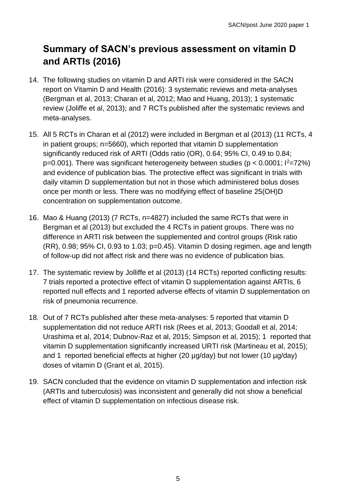### <span id="page-4-0"></span>**Summary of SACN's previous assessment on vitamin D and ARTIs (2016)**

- 14. The following studies on vitamin D and ARTI risk were considered in the SACN report on Vitamin D and Health (2016): 3 systematic reviews and meta-analyses (Bergman et al, 2013; Charan et al, 2012; Mao and Huang, 2013); 1 systematic review (Joliffe et al, 2013); and 7 RCTs published after the systematic reviews and meta-analyses.
- 15. All 5 RCTs in Charan et al (2012) were included in Bergman et al (2013) (11 RCTs, 4 in patient groups; n=5660), which reported that vitamin D supplementation significantly reduced risk of ARTI (Odds ratio (OR), 0.64; 95% CI, 0.49 to 0.84;  $p=0.001$ ). There was significant heterogeneity between studies ( $p < 0.0001$ ;  $1^2=72\%$ ) and evidence of publication bias. The protective effect was significant in trials with daily vitamin D supplementation but not in those which administered bolus doses once per month or less. There was no modifying effect of baseline 25(OH)D concentration on supplementation outcome.
- 16. Mao & Huang (2013) (7 RCTs, n=4827) included the same RCTs that were in Bergman et al (2013) but excluded the 4 RCTs in patient groups. There was no difference in ARTI risk between the supplemented and control groups (Risk ratio (RR), 0.98; 95% CI, 0.93 to 1.03; p=0.45). Vitamin D dosing regimen, age and length of follow-up did not affect risk and there was no evidence of publication bias.
- 17. The systematic review by Jolliffe et al (2013) (14 RCTs) reported conflicting results: 7 trials reported a protective effect of vitamin D supplementation against ARTIs, 6 reported null effects and 1 reported adverse effects of vitamin D supplementation on risk of pneumonia recurrence.
- 18. Out of 7 RCTs published after these meta-analyses: 5 reported that vitamin D supplementation did not reduce ARTI risk (Rees et al, 2013; Goodall et al, 2014; Urashima et al, 2014; Dubnov-Raz et al, 2015; Simpson et al, 2015); 1 reported that vitamin D supplementation significantly increased URTI risk (Martineau et al, 2015); and 1 reported beneficial effects at higher (20 µg/day) but not lower (10 µg/day) doses of vitamin D (Grant et al, 2015).
- 19. SACN concluded that the evidence on vitamin D supplementation and infection risk (ARTIs and tuberculosis) was inconsistent and generally did not show a beneficial effect of vitamin D supplementation on infectious disease risk.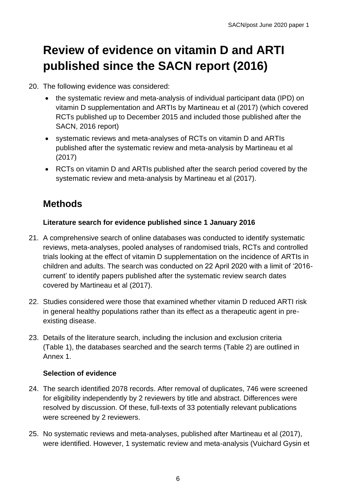# <span id="page-5-0"></span>**Review of evidence on vitamin D and ARTI published since the SACN report (2016)**

- 20. The following evidence was considered:
	- the systematic review and meta-analysis of individual participant data (IPD) on vitamin D supplementation and ARTIs by Martineau et al (2017) (which covered RCTs published up to December 2015 and included those published after the SACN, 2016 report)
	- systematic reviews and meta-analyses of RCTs on vitamin D and ARTIs published after the systematic review and meta-analysis by Martineau et al (2017)
	- RCTs on vitamin D and ARTIs published after the search period covered by the systematic review and meta-analysis by Martineau et al (2017).

### <span id="page-5-1"></span>**Methods**

#### **Literature search for evidence published since 1 January 2016**

- 21. A comprehensive search of online databases was conducted to identify systematic reviews, meta-analyses, pooled analyses of randomised trials, RCTs and controlled trials looking at the effect of vitamin D supplementation on the incidence of ARTIs in children and adults. The search was conducted on 22 April 2020 with a limit of '2016 current' to identify papers published after the systematic review search dates covered by Martineau et al (2017).
- 22. Studies considered were those that examined whether vitamin D reduced ARTI risk in general healthy populations rather than its effect as a therapeutic agent in preexisting disease.
- 23. Details of the literature search, including the inclusion and exclusion criteria (Table 1), the databases searched and the search terms (Table 2) are outlined in Annex 1.

#### **Selection of evidence**

- 24. The search identified 2078 records. After removal of duplicates, 746 were screened for eligibility independently by 2 reviewers by title and abstract. Differences were resolved by discussion. Of these, full-texts of 33 potentially relevant publications were screened by 2 reviewers.
- 25. No systematic reviews and meta-analyses, published after Martineau et al (2017), were identified. However, 1 systematic review and meta-analysis (Vuichard Gysin et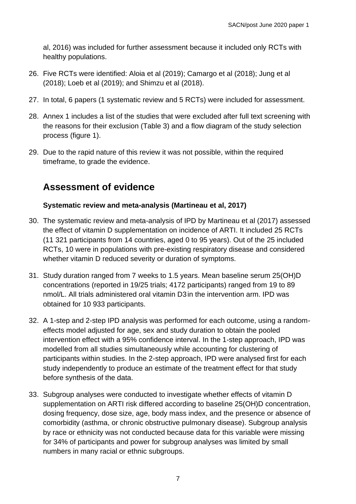al, 2016) was included for further assessment because it included only RCTs with healthy populations.

- 26. Five RCTs were identified: Aloia et al (2019); Camargo et al (2018); Jung et al (2018); Loeb et al (2019); and Shimzu et al (2018).
- 27. In total, 6 papers (1 systematic review and 5 RCTs) were included for assessment.
- 28. Annex 1 includes a list of the studies that were excluded after full text screening with the reasons for their exclusion (Table 3) and a flow diagram of the study selection process (figure 1).
- 29. Due to the rapid nature of this review it was not possible, within the required timeframe, to grade the evidence.

### <span id="page-6-0"></span>**Assessment of evidence**

#### **Systematic review and meta-analysis (Martineau et al, 2017)**

- 30. The systematic review and meta-analysis of IPD by Martineau et al (2017) assessed the effect of vitamin D supplementation on incidence of ARTI. It included 25 RCTs (11 321 participants from 14 countries, aged 0 to 95 years). Out of the 25 included RCTs, 10 were in populations with pre-existing respiratory disease and considered whether vitamin D reduced severity or duration of symptoms.
- 31. Study duration ranged from 7 weeks to 1.5 years. Mean baseline serum 25(OH)D concentrations (reported in 19/25 trials; 4172 participants) ranged from 19 to 89 nmol/L. All trials administered oral vitamin D3in the intervention arm. IPD was obtained for 10 933 participants.
- 32. A 1-step and 2-step IPD analysis was performed for each outcome, using a randomeffects model adjusted for age, sex and study duration to obtain the pooled intervention effect with a 95% confidence interval. In the 1-step approach, IPD was modelled from all studies simultaneously while accounting for clustering of participants within studies. In the 2-step approach, IPD were analysed first for each study independently to produce an estimate of the treatment effect for that study before synthesis of the data.
- 33. Subgroup analyses were conducted to investigate whether effects of vitamin D supplementation on ARTI risk differed according to baseline 25(OH)D concentration, dosing frequency, dose size, age, body mass index, and the presence or absence of comorbidity (asthma, or chronic obstructive pulmonary disease). Subgroup analysis by race or ethnicity was not conducted because data for this variable were missing for 34% of participants and power for subgroup analyses was limited by small numbers in many racial or ethnic subgroups.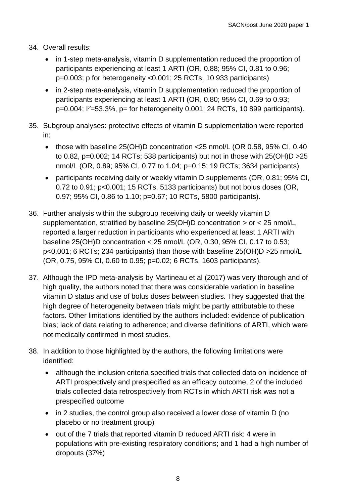- 34. Overall results:
	- in 1-step meta-analysis, vitamin D supplementation reduced the proportion of participants experiencing at least 1 ARTI (OR, 0.88; 95% CI, 0.81 to 0.96; p=0.003; p for heterogeneity <0.001; 25 RCTs, 10 933 participants)
	- in 2-step meta-analysis, vitamin D supplementation reduced the proportion of participants experiencing at least 1 ARTI (OR, 0.80; 95% CI, 0.69 to 0.93; p=0.004; I*<sup>2</sup>*=53.3%, p= for heterogeneity 0.001; 24 RCTs, 10 899 participants).
- 35. Subgroup analyses: protective effects of vitamin D supplementation were reported in:
	- those with baseline 25(OH)D concentration <25 nmol/L (OR 0.58, 95% CI, 0.40 to 0.82, p=0.002; 14 RCTs; 538 participants) but not in those with  $25(OH)D > 25$ nmol/L (OR, 0.89; 95% CI, 0.77 to 1.04; p=0.15; 19 RCTs; 3634 participants)
	- participants receiving daily or weekly vitamin D supplements (OR, 0.81; 95% CI, 0.72 to 0.91; p<0.001; 15 RCTs, 5133 participants) but not bolus doses (OR, 0.97; 95% CI, 0.86 to 1.10; p=0.67; 10 RCTs, 5800 participants).
- 36. Further analysis within the subgroup receiving daily or weekly vitamin D supplementation, stratified by baseline 25(OH)D concentration > or < 25 nmol/L, reported a larger reduction in participants who experienced at least 1 ARTI with baseline 25(OH)D concentration < 25 nmol/L (OR, 0.30, 95% CI, 0.17 to 0.53; p<0.001; 6 RCTs; 234 participants) than those with baseline 25(OH)D >25 nmol/L (OR, 0.75, 95% CI, 0.60 to 0.95; p=0.02; 6 RCTs, 1603 participants).
- 37. Although the IPD meta-analysis by Martineau et al (2017) was very thorough and of high quality, the authors noted that there was considerable variation in baseline vitamin D status and use of bolus doses between studies. They suggested that the high degree of heterogeneity between trials might be partly attributable to these factors. Other limitations identified by the authors included: evidence of publication bias; lack of data relating to adherence; and diverse definitions of ARTI, which were not medically confirmed in most studies.
- 38. In addition to those highlighted by the authors, the following limitations were identified:
	- although the inclusion criteria specified trials that collected data on incidence of ARTI prospectively and prespecified as an efficacy outcome, 2 of the included trials collected data retrospectively from RCTs in which ARTI risk was not a prespecified outcome
	- in 2 studies, the control group also received a lower dose of vitamin D (no placebo or no treatment group)
	- out of the 7 trials that reported vitamin D reduced ARTI risk: 4 were in populations with pre-existing respiratory conditions; and 1 had a high number of dropouts (37%)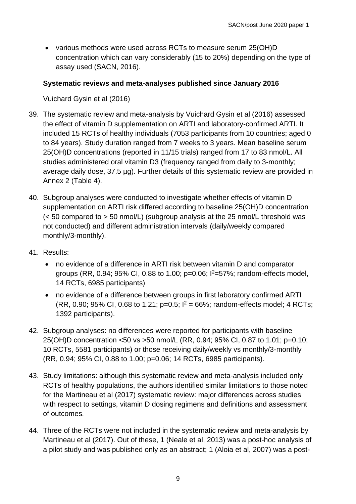• various methods were used across RCTs to measure serum 25(OH)D concentration which can vary considerably (15 to 20%) depending on the type of assay used (SACN, 2016).

#### **Systematic reviews and meta-analyses published since January 2016**

Vuichard Gysin et al (2016)

- 39. The systematic review and meta-analysis by Vuichard Gysin et al (2016) assessed the effect of vitamin D supplementation on ARTI and laboratory-confirmed ARTI. It included 15 RCTs of healthy individuals (7053 participants from 10 countries; aged 0 to 84 years). Study duration ranged from 7 weeks to 3 years. Mean baseline serum 25(OH)D concentrations (reported in 11/15 trials) ranged from 17 to 83 nmol/L. All studies administered oral vitamin D3 (frequency ranged from daily to 3-monthly; average daily dose, 37.5 µg). Further details of this systematic review are provided in Annex 2 (Table 4).
- 40. Subgroup analyses were conducted to investigate whether effects of vitamin D supplementation on ARTI risk differed according to baseline 25(OH)D concentration (< 50 compared to > 50 nmol/L) (subgroup analysis at the 25 nmol/L threshold was not conducted) and different administration intervals (daily/weekly compared monthly/3-monthly).
- 41. Results:
	- no evidence of a difference in ARTI risk between vitamin D and comparator groups (RR, 0.94; 95% CI, 0.88 to 1.00;  $p=0.06$ ;  $1^{2}=57$ %; random-effects model, 14 RCTs, 6985 participants)
	- no evidence of a difference between groups in first laboratory confirmed ARTI (RR, 0.90; 95% CI, 0.68 to 1.21; p=0.5;  $I^2 = 66\%$ ; random-effects model; 4 RCTs; 1392 participants).
- 42. Subgroup analyses: no differences were reported for participants with baseline 25(OH)D concentration <50 vs >50 nmol/L (RR, 0.94; 95% CI, 0.87 to 1.01; p=0.10; 10 RCTs, 5581 participants) or those receiving daily/weekly vs monthly/3-monthly (RR, 0.94; 95% CI, 0.88 to 1.00; p=0.06; 14 RCTs, 6985 participants).
- 43. Study limitations: although this systematic review and meta-analysis included only RCTs of healthy populations, the authors identified similar limitations to those noted for the Martineau et al (2017) systematic review: major differences across studies with respect to settings, vitamin D dosing regimens and definitions and assessment of outcomes.
- 44. Three of the RCTs were not included in the systematic review and meta-analysis by Martineau et al (2017). Out of these, 1 (Neale et al, 2013) was a post-hoc analysis of a pilot study and was published only as an abstract; 1 (Aloia et al, 2007) was a post-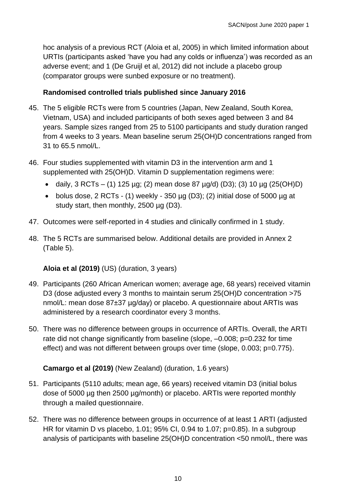hoc analysis of a previous RCT (Aloia et al, 2005) in which limited information about URTIs (participants asked 'have you had any colds or influenza') was recorded as an adverse event; and 1 (De Gruijl et al, 2012) did not include a placebo group (comparator groups were sunbed exposure or no treatment).

#### **Randomised controlled trials published since January 2016**

- 45. The 5 eligible RCTs were from 5 countries (Japan, New Zealand, South Korea, Vietnam, USA) and included participants of both sexes aged between 3 and 84 years. Sample sizes ranged from 25 to 5100 participants and study duration ranged from 4 weeks to 3 years. Mean baseline serum 25(OH)D concentrations ranged from 31 to 65.5 nmol/L.
- 46. Four studies supplemented with vitamin D3 in the intervention arm and 1 supplemented with 25(OH)D. Vitamin D supplementation regimens were:
	- daily,  $3 RCTs (1) 125 \mu g$ ; (2) mean dose 87  $\mu g/d$ ) (D3); (3) 10  $\mu g$  (25(OH)D)
	- bolus dose,  $2$  RCTs (1) weekly 350  $\mu$ g (D3); (2) initial dose of 5000  $\mu$ g at study start, then monthly, 2500 µg (D3).
- 47. Outcomes were self-reported in 4 studies and clinically confirmed in 1 study.
- 48. The 5 RCTs are summarised below. Additional details are provided in Annex 2 (Table 5).

#### **Aloia et al (2019)** (US) (duration, 3 years)

- 49. Participants (260 African American women; average age, 68 years) received vitamin D3 (dose adjusted every 3 months to maintain serum 25(OH)D concentration >75 nmol/L: mean dose 87±37 µg/day) or placebo. A questionnaire about ARTIs was administered by a research coordinator every 3 months.
- 50. There was no difference between groups in occurrence of ARTIs. Overall, the ARTI rate did not change significantly from baseline (slope,  $-0.008$ ; p=0.232 for time effect) and was not different between groups over time (slope, 0.003; p=0.775).

#### **Camargo et al (2019)** (New Zealand) (duration, 1.6 years)

- 51. Participants (5110 adults; mean age, 66 years) received vitamin D3 (initial bolus dose of 5000 µg then 2500 µg/month) or placebo. ARTIs were reported monthly through a mailed questionnaire.
- 52. There was no difference between groups in occurrence of at least 1 ARTI (adjusted HR for vitamin D vs placebo, 1.01; 95% CI, 0.94 to 1.07; p=0.85). In a subgroup analysis of participants with baseline 25(OH)D concentration <50 nmol/L, there was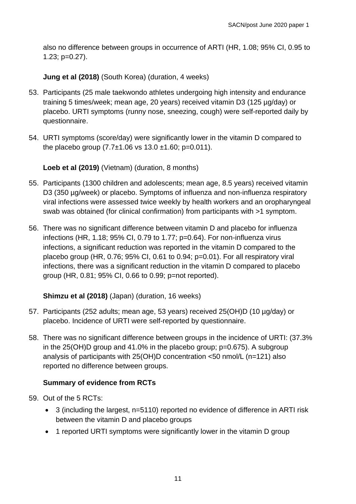also no difference between groups in occurrence of ARTI (HR, 1.08; 95% CI, 0.95 to 1.23; p=0.27).

**Jung et al (2018)** (South Korea) (duration, 4 weeks)

- 53. Participants (25 male taekwondo athletes undergoing high intensity and endurance training 5 times/week; mean age, 20 years) received vitamin D3 (125 µg/day) or placebo. URTI symptoms (runny nose, sneezing, cough) were self-reported daily by questionnaire.
- 54. URTI symptoms (score/day) were significantly lower in the vitamin D compared to the placebo group  $(7.7\pm1.06 \text{ vs } 13.0 \pm 1.60; \text{ p} = 0.011)$ .

**Loeb et al (2019)** (Vietnam) (duration, 8 months)

- 55. Participants (1300 children and adolescents; mean age, 8.5 years) received vitamin D3 (350 µg/week) or placebo. Symptoms of influenza and non-influenza respiratory viral infections were assessed twice weekly by health workers and an oropharyngeal swab was obtained (for clinical confirmation) from participants with >1 symptom.
- 56. There was no significant difference between vitamin D and placebo for influenza infections (HR, 1.18; 95% CI, 0.79 to 1.77; p=0.64). For non-influenza virus infections, a significant reduction was reported in the vitamin D compared to the placebo group (HR, 0.76; 95% CI, 0.61 to 0.94; p=0.01). For all respiratory viral infections, there was a significant reduction in the vitamin D compared to placebo group (HR, 0.81; 95% CI, 0.66 to 0.99; p=not reported).

#### **Shimzu et al (2018)** (Japan) (duration, 16 weeks)

- 57. Participants (252 adults; mean age, 53 years) received 25(OH)D (10 µg/day) or placebo. Incidence of URTI were self-reported by questionnaire.
- 58. There was no significant difference between groups in the incidence of URTI: (37.3% in the 25(OH)D group and 41.0% in the placebo group; p=0.675). A subgroup analysis of participants with 25(OH)D concentration <50 nmol/L (n=121) also reported no difference between groups.

#### **Summary of evidence from RCTs**

- 59. Out of the 5 RCTs:
	- 3 (including the largest, n=5110) reported no evidence of difference in ARTI risk between the vitamin D and placebo groups
	- 1 reported URTI symptoms were significantly lower in the vitamin D group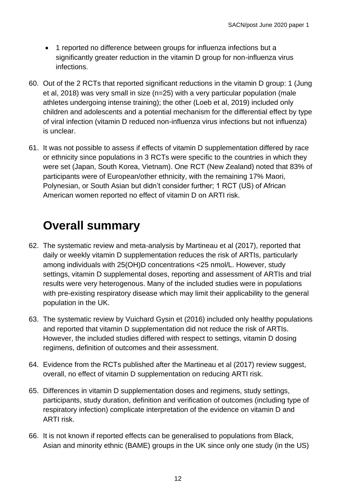- 1 reported no difference between groups for influenza infections but a significantly greater reduction in the vitamin D group for non-influenza virus infections.
- 60. Out of the 2 RCTs that reported significant reductions in the vitamin D group: 1 (Jung et al, 2018) was very small in size (n=25) with a very particular population (male athletes undergoing intense training); the other (Loeb et al, 2019) included only children and adolescents and a potential mechanism for the differential effect by type of viral infection (vitamin D reduced non-influenza virus infections but not influenza) is unclear.
- 61. It was not possible to assess if effects of vitamin D supplementation differed by race or ethnicity since populations in 3 RCTs were specific to the countries in which they were set (Japan, South Korea, Vietnam). One RCT (New Zealand) noted that 83% of participants were of European/other ethnicity, with the remaining 17% Maori, Polynesian, or South Asian but didn't consider further; 1 RCT (US) of African American women reported no effect of vitamin D on ARTI risk.

## <span id="page-11-0"></span>**Overall summary**

- 62. The systematic review and meta-analysis by Martineau et al (2017), reported that daily or weekly vitamin D supplementation reduces the risk of ARTIs, particularly among individuals with 25(OH)D concentrations <25 nmol/L. However, study settings, vitamin D supplemental doses, reporting and assessment of ARTIs and trial results were very heterogenous. Many of the included studies were in populations with pre-existing respiratory disease which may limit their applicability to the general population in the UK.
- 63. The systematic review by Vuichard Gysin et (2016) included only healthy populations and reported that vitamin D supplementation did not reduce the risk of ARTIs. However, the included studies differed with respect to settings, vitamin D dosing regimens, definition of outcomes and their assessment.
- 64. Evidence from the RCTs published after the Martineau et al (2017) review suggest, overall, no effect of vitamin D supplementation on reducing ARTI risk.
- 65. Differences in vitamin D supplementation doses and regimens, study settings, participants, study duration, definition and verification of outcomes (including type of respiratory infection) complicate interpretation of the evidence on vitamin D and ARTI risk.
- 66. It is not known if reported effects can be generalised to populations from Black, Asian and minority ethnic (BAME) groups in the UK since only one study (in the US)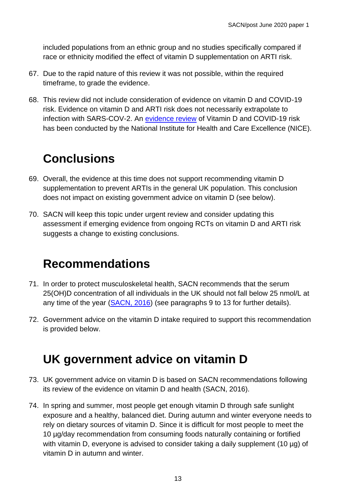included populations from an ethnic group and no studies specifically compared if race or ethnicity modified the effect of vitamin D supplementation on ARTI risk.

- 67. Due to the rapid nature of this review it was not possible, within the required timeframe, to grade the evidence.
- 68. This review did not include consideration of evidence on vitamin D and COVID-19 risk. Evidence on vitamin D and ARTI risk does not necessarily extrapolate to infection with SARS-COV-2. An [evidence review](https://www.nice.org.uk/advice/es28/chapter/Key-messages) of Vitamin D and COVID-19 risk has been conducted by the National Institute for Health and Care Excellence (NICE).

## <span id="page-12-0"></span>**Conclusions**

- 69. Overall, the evidence at this time does not support recommending vitamin D supplementation to prevent ARTIs in the general UK population. This conclusion does not impact on existing government advice on vitamin D (see below).
- 70. SACN will keep this topic under urgent review and consider updating this assessment if emerging evidence from ongoing RCTs on vitamin D and ARTI risk suggests a change to existing conclusions.

## <span id="page-12-1"></span>**Recommendations**

- 71. In order to protect musculoskeletal health, SACN recommends that the serum 25(OH)D concentration of all individuals in the UK should not fall below 25 nmol/L at any time of the year [\(SACN, 2016\)](https://www.gov.uk/government/publications/sacn-vitamin-d-and-health-report) (see paragraphs 9 to 13 for further details).
- 72. Government advice on the vitamin D intake required to support this recommendation is provided below.

## <span id="page-12-2"></span>**UK government advice on vitamin D**

- 73. UK government advice on vitamin D is based on SACN recommendations following its review of the evidence on vitamin D and health (SACN, 2016).
- 74. In spring and summer, most people get enough vitamin D through safe sunlight exposure and a healthy, balanced diet. During autumn and winter everyone needs to rely on dietary sources of vitamin D. Since it is difficult for most people to meet the 10 µg/day recommendation from consuming foods naturally containing or fortified with vitamin D, everyone is advised to consider taking a daily supplement (10 µg) of vitamin D in autumn and winter.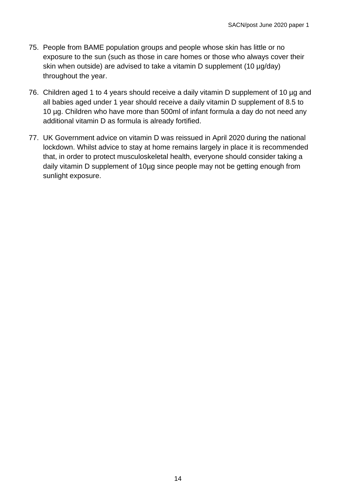- 75. People from BAME population groups and people whose skin has little or no exposure to the sun (such as those in care homes or those who always cover their skin when outside) are advised to take a vitamin D supplement (10 µg/day) throughout the year.
- 76. Children aged 1 to 4 years should receive a daily vitamin D supplement of 10 µg and all babies aged under 1 year should receive a daily vitamin D supplement of 8.5 to 10 µg. Children who have more than 500ml of infant formula a day do not need any additional vitamin D as formula is already fortified.
- 77. UK Government advice on vitamin D was reissued in April 2020 during the national lockdown. Whilst advice to stay at home remains largely in place it is recommended that, in order to protect musculoskeletal health, everyone should consider taking a daily vitamin D supplement of 10µg since people may not be getting enough from sunlight exposure.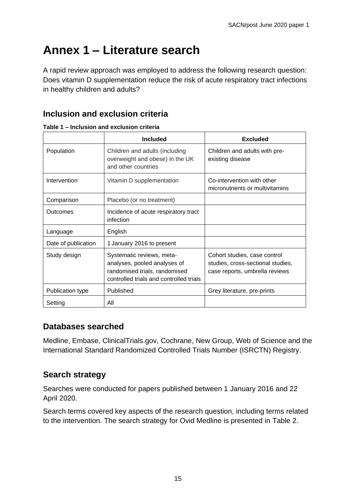## <span id="page-14-0"></span>**Annex 1 – Literature search**

A rapid review approach was employed to address the following research question: Does vitamin D supplementation reduce the risk of acute respiratory tract infections in healthy children and adults?

### **Inclusion and exclusion criteria**

|                     | <b>Included</b>                                                                                                                       | <b>Excluded</b>                                                                                     |
|---------------------|---------------------------------------------------------------------------------------------------------------------------------------|-----------------------------------------------------------------------------------------------------|
| Population          | Children and adults (including<br>overweight and obese) in the UK<br>and other countries                                              | Children and adults with pre-<br>existing disease                                                   |
| Intervention        | Vitamin D supplementation                                                                                                             | Co-intervention with other<br>micronutrients or multivitamins                                       |
| Comparison          | Placebo (or no treatment)                                                                                                             |                                                                                                     |
| Outcomes            | Incidence of acute respiratory tract<br>infection                                                                                     |                                                                                                     |
| Language            | English                                                                                                                               |                                                                                                     |
| Date of publication | 1 January 2016 to present                                                                                                             |                                                                                                     |
| Study design        | Systematic reviews, meta-<br>analyses, pooled analyses of<br>randomised trials, randomised<br>controlled trials and controlled trials | Cohort studies, case control<br>studies, cross-sectional studies,<br>case reports, umbrella reviews |
| Publication type    | Published                                                                                                                             | Grey literature, pre-prints                                                                         |
| Setting             | All                                                                                                                                   |                                                                                                     |

**Table 1 – Inclusion and exclusion criteria**

#### **Databases searched**

Medline, Embase, ClinicalTrials.gov, Cochrane, New Group, Web of Science and the International Standard Randomized Controlled Trials Number (ISRCTN) Registry.

#### **Search strategy**

Searches were conducted for papers published between 1 January 2016 and 22 April 2020.

Search terms covered key aspects of the research question, including terms related to the intervention. The search strategy for Ovid Medline is presented in Table 2.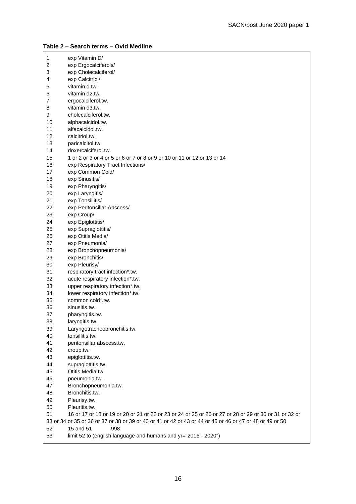| 1              | exp Vitamin D/                                                                                           |
|----------------|----------------------------------------------------------------------------------------------------------|
| 2              | exp Ergocalciferols/                                                                                     |
| 3              | exp Cholecalciferol/                                                                                     |
| 4              | exp Calcitriol/                                                                                          |
| 5              | vitamin d.tw.                                                                                            |
| 6              | vitamin d2.tw.                                                                                           |
| $\overline{7}$ | ergocalciferol.tw.                                                                                       |
| 8              | vitamin d3.tw.                                                                                           |
| 9              | cholecalciferol.tw.                                                                                      |
| 10             | alphacalcidol.tw.                                                                                        |
| 11             | alfacalcidol.tw.                                                                                         |
| 12             | calcitriol.tw.                                                                                           |
| 13             | paricalcitol.tw.                                                                                         |
| 14             | doxercalciferol.tw.                                                                                      |
| 15             |                                                                                                          |
|                | 1 or 2 or 3 or 4 or 5 or 6 or 7 or 8 or 9 or 10 or 11 or 12 or 13 or 14                                  |
| 16             | exp Respiratory Tract Infections/                                                                        |
| 17             | exp Common Cold/                                                                                         |
| 18             | exp Sinusitis/                                                                                           |
| 19             | exp Pharyngitis/                                                                                         |
| 20             | exp Laryngitis/                                                                                          |
| 21             | exp Tonsillitis/                                                                                         |
| 22             | exp Peritonsillar Abscess/                                                                               |
| 23             | exp Croup/                                                                                               |
| 24             | exp Epiglottitis/                                                                                        |
| 25             | exp Supraglottitis/                                                                                      |
| 26             | exp Otitis Media/                                                                                        |
| 27             | exp Pneumonia/                                                                                           |
| 28             | exp Bronchopneumonia/                                                                                    |
| 29             | exp Bronchitis/                                                                                          |
| 30             | exp Pleurisy/                                                                                            |
| 31             | respiratory tract infection*.tw.                                                                         |
| 32             | acute respiratory infection*.tw.                                                                         |
| 33             | upper respiratory infection*.tw.                                                                         |
| 34             | lower respiratory infection*.tw.                                                                         |
| 35             | common cold*.tw.                                                                                         |
| 36             | sinusitis.tw.                                                                                            |
| 37             | pharyngitis.tw.                                                                                          |
| 38             | laryngitis.tw.                                                                                           |
| 39             | Laryngotracheobronchitis.tw.                                                                             |
| 40             | tonsillitis.tw.                                                                                          |
| 41             | peritonsillar abscess.tw.                                                                                |
| 42             | croup.tw.                                                                                                |
| 43             | epiglottitis.tw.                                                                                         |
| 44             | supraglottitis.tw.                                                                                       |
| 45             | Otitis Media.tw.                                                                                         |
|                |                                                                                                          |
| 46             | pneumonia.tw.                                                                                            |
| 47             | Bronchopneumonia.tw.                                                                                     |
| 48             | Bronchitis.tw.                                                                                           |
| 49             | Pleurisy.tw.                                                                                             |
| 50             | Pleuritis.tw.                                                                                            |
| 51             | 16 or 17 or 18 or 19 or 20 or 21 or 22 or 23 or 24 or 25 or 26 or 27 or 28 or 29 or 30 or 31 or 32 or    |
|                | 33 or 34 or 35 or 36 or 37 or 38 or 39 or 40 or 41 or 42 or 43 or 44 or 45 or 46 or 47 or 48 or 49 or 50 |
| 52             | 15 and 51<br>998                                                                                         |
| 53             | limit 52 to (english language and humans and yr="2016 - 2020")                                           |

#### **Table 2 – Search terms – Ovid Medline**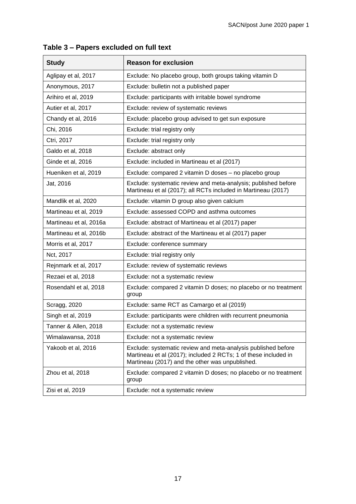| <b>Study</b>           | <b>Reason for exclusion</b>                                                                                                                                                         |
|------------------------|-------------------------------------------------------------------------------------------------------------------------------------------------------------------------------------|
| Aglipay et al, 2017    | Exclude: No placebo group, both groups taking vitamin D                                                                                                                             |
| Anonymous, 2017        | Exclude: bulletin not a published paper                                                                                                                                             |
| Arihiro et al, 2019    | Exclude: participants with irritable bowel syndrome                                                                                                                                 |
| Autier et al, 2017     | Exclude: review of systematic reviews                                                                                                                                               |
| Chandy et al, 2016     | Exclude: placebo group advised to get sun exposure                                                                                                                                  |
| Chi, 2016              | Exclude: trial registry only                                                                                                                                                        |
| Ctri, 2017             | Exclude: trial registry only                                                                                                                                                        |
| Galdo et al, 2018      | Exclude: abstract only                                                                                                                                                              |
| Ginde et al, 2016      | Exclude: included in Martineau et al (2017)                                                                                                                                         |
| Hueniken et al, 2019   | Exclude: compared 2 vitamin D doses - no placebo group                                                                                                                              |
| Jat, 2016              | Exclude: systematic review and meta-analysis; published before<br>Martineau et al (2017); all RCTs included in Martineau (2017)                                                     |
| Mandlik et al, 2020    | Exclude: vitamin D group also given calcium                                                                                                                                         |
| Martineau et al, 2019  | Exclude: assessed COPD and asthma outcomes                                                                                                                                          |
| Martineau et al, 2016a | Exclude: abstract of Martineau et al (2017) paper                                                                                                                                   |
| Martineau et al, 2016b | Exclude: abstract of the Martineau et al (2017) paper                                                                                                                               |
| Morris et al, 2017     | Exclude: conference summary                                                                                                                                                         |
| Nct, 2017              | Exclude: trial registry only                                                                                                                                                        |
| Rejnmark et al, 2017   | Exclude: review of systematic reviews                                                                                                                                               |
| Rezaei et al, 2018     | Exclude: not a systematic review                                                                                                                                                    |
| Rosendahl et al, 2018  | Exclude: compared 2 vitamin D doses; no placebo or no treatment<br>group                                                                                                            |
| Scragg, 2020           | Exclude: same RCT as Camargo et al (2019)                                                                                                                                           |
| Singh et al, 2019      | Exclude: participants were children with recurrent pneumonia                                                                                                                        |
| Tanner & Allen, 2018   | Exclude: not a systematic review                                                                                                                                                    |
| Wimalawansa, 2018      | Exclude: not a systematic review                                                                                                                                                    |
| Yakoob et al, 2016     | Exclude: systematic review and meta-analysis published before<br>Martineau et al (2017); included 2 RCTs; 1 of these included in<br>Martineau (2017) and the other was unpublished. |
| Zhou et al, 2018       | Exclude: compared 2 vitamin D doses; no placebo or no treatment<br>group                                                                                                            |
| Zisi et al, 2019       | Exclude: not a systematic review                                                                                                                                                    |

**Table 3 – Papers excluded on full text**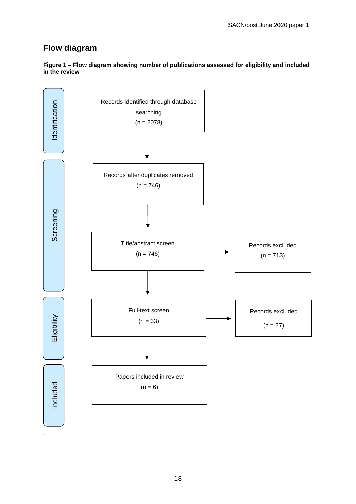#### **Flow diagram**

**Figure 1 – Flow diagram showing number of publications assessed for eligibility and included in the review**

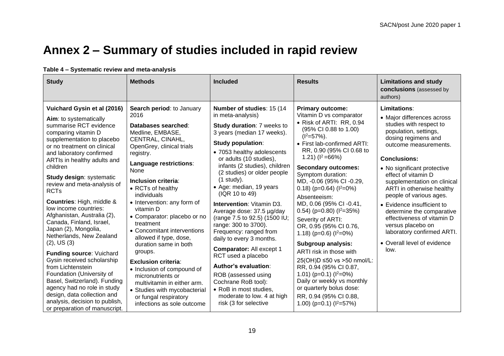### **Annex 2 – Summary of studies included in rapid review**

#### **Table 4 – Systematic review and meta-analysis**

<span id="page-18-0"></span>

| <b>Study</b>                                                                                                                                                                                                                                                                                                                                                                                                                                                                                                                                                                                                                                                                                                                                     | <b>Methods</b>                                                                                                                                                                                                                                                                                                                                                                                                                                                                                                                                                                                        | <b>Included</b>                                                                                                                                                                                                                                                                                                                                                                                                                                                                                                                                                                                                                                                                             | <b>Results</b>                                                                                                                                                                                                                                                                                                                                                                                                                                                                                                                                                                                                                                                                                                            | <b>Limitations and study</b><br>conclusions (assessed by<br>authors)                                                                                                                                                                                                                                                                                                                                                                                                                                  |
|--------------------------------------------------------------------------------------------------------------------------------------------------------------------------------------------------------------------------------------------------------------------------------------------------------------------------------------------------------------------------------------------------------------------------------------------------------------------------------------------------------------------------------------------------------------------------------------------------------------------------------------------------------------------------------------------------------------------------------------------------|-------------------------------------------------------------------------------------------------------------------------------------------------------------------------------------------------------------------------------------------------------------------------------------------------------------------------------------------------------------------------------------------------------------------------------------------------------------------------------------------------------------------------------------------------------------------------------------------------------|---------------------------------------------------------------------------------------------------------------------------------------------------------------------------------------------------------------------------------------------------------------------------------------------------------------------------------------------------------------------------------------------------------------------------------------------------------------------------------------------------------------------------------------------------------------------------------------------------------------------------------------------------------------------------------------------|---------------------------------------------------------------------------------------------------------------------------------------------------------------------------------------------------------------------------------------------------------------------------------------------------------------------------------------------------------------------------------------------------------------------------------------------------------------------------------------------------------------------------------------------------------------------------------------------------------------------------------------------------------------------------------------------------------------------------|-------------------------------------------------------------------------------------------------------------------------------------------------------------------------------------------------------------------------------------------------------------------------------------------------------------------------------------------------------------------------------------------------------------------------------------------------------------------------------------------------------|
| Vuichard Gysin et al (2016)<br>Aim: to systematically<br>summarise RCT evidence<br>comparing vitamin D<br>supplementation to placebo<br>or no treatment on clinical<br>and laboratory confirmed<br>ARTIs in healthy adults and<br>children<br><b>Study design: systematic</b><br>review and meta-analysis of<br><b>RCTs</b><br><b>Countries: High, middle &amp;</b><br>low income countries:<br>Afghanistan, Australia (2),<br>Canada, Finland, Israel,<br>Japan (2), Mongolia,<br>Netherlands, New Zealand<br>$(2)$ , US $(3)$<br><b>Funding source: Vuichard</b><br>Gysin received scholarship<br>from Lichtenstein<br>Foundation (University of<br>Basel, Switzerland). Funding<br>agency had no role in study<br>design, data collection and | Search period: to January<br>2016<br>Databases searched:<br>Medline, EMBASE,<br>CENTRAL, CINAHL,<br>OpenGrey, clinical trials<br>registry.<br>Language restrictions:<br>None<br>Inclusion criteria:<br>• RCTs of healthy<br>individuals<br>• Intervention: any form of<br>vitamin D<br>• Comparator: placebo or no<br>treatment<br>• Concomitant interventions<br>allowed if type, dose,<br>duration same in both<br>groups.<br><b>Exclusion criteria:</b><br>• Inclusion of compound of<br>micronutrients or<br>multivitamin in either arm.<br>• Studies with mycobacterial<br>or fungal respiratory | Number of studies: 15 (14)<br>in meta-analysis)<br>Study duration: 7 weeks to<br>3 years (median 17 weeks).<br>Study population:<br>• 7053 healthy adolescents<br>or adults (10 studies),<br>infants (2 studies), children<br>(2 studies) or older people<br>(1 study).<br>• Age: median, 19 years<br>(IQR 10 to 49)<br><b>Intervention: Vitamin D3.</b><br>Average dose: 37.5 µg/day<br>(range 7.5 to 92.5) (1500 IU;<br>range: 300 to 3700).<br>Frequency: ranged from<br>daily to every 3 months.<br><b>Comparator: All except 1</b><br>RCT used a placebo<br>Author's evaluation:<br>ROB (assessed using<br>Cochrane RoB tool):<br>• RoB in most studies,<br>moderate to low. 4 at high | <b>Primary outcome:</b><br>Vitamin D vs comparator<br>• Risk of ARTI: RR, 0.94<br>(95% CI 0.88 to 1.00)<br>$(I2=57%)$ .<br>• First lab-confirmed ARTI:<br>RR, 0.90 (95% CI 0.68 to<br>1.21) $(1^2=66%)$<br><b>Secondary outcomes:</b><br>Symptom duration:<br>MD, -0.06 (95% CI -0.29,<br>0.18) ( $p=0.64$ ) ( $l^2=0%$ )<br>Absenteeism:<br>MD, 0.06 (95% CI-0.41,<br>0.54) ( $p=0.80$ ) ( $l^2=35%$ )<br>Severity of ARTI:<br>OR, 0.95 (95% CI 0.76,<br>1.18) ( $p=0.6$ ) ( $l^2=0\%$ )<br>Subgroup analysis:<br>ARTI risk in those with<br>25(OH)D ≤50 vs >50 nmol/L:<br>RR, 0.94 (95% CI 0.87,<br>1.01) ( $p=0.1$ ) ( $l^2=0\%$ )<br>Daily or weekly vs monthly<br>or quarterly bolus dose:<br>RR, 0.94 (95% CI 0.88, | Limitations:<br>• Major differences across<br>studies with respect to<br>population, settings,<br>dosing regimens and<br>outcome measurements.<br><b>Conclusions:</b><br>• No significant protective<br>effect of vitamin D<br>supplementation on clinical<br>ARTI in otherwise healthy<br>people of various ages.<br>• Evidence insufficient to<br>determine the comparative<br>effectiveness of vitamin D<br>versus placebo on<br>laboratory confirmed ARTI.<br>• Overall level of evidence<br>low. |
| analysis, decision to publish,<br>or preparation of manuscript.                                                                                                                                                                                                                                                                                                                                                                                                                                                                                                                                                                                                                                                                                  | infections as sole outcome                                                                                                                                                                                                                                                                                                                                                                                                                                                                                                                                                                            | risk (3 for selective                                                                                                                                                                                                                                                                                                                                                                                                                                                                                                                                                                                                                                                                       | 1.00) ( $p=0.1$ ) ( $l^2=57\%$ )                                                                                                                                                                                                                                                                                                                                                                                                                                                                                                                                                                                                                                                                                          |                                                                                                                                                                                                                                                                                                                                                                                                                                                                                                       |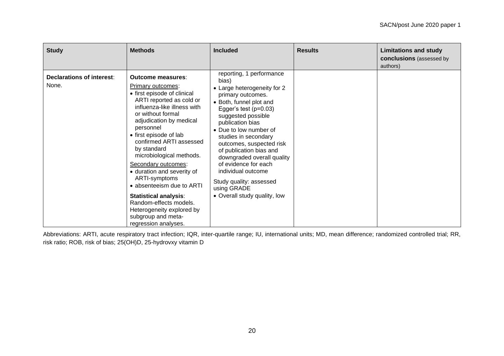| <b>Study</b>                              | <b>Methods</b>                                                                                                                                                                                                                                                                                                                                                                                                                                                                                                                        | <b>Included</b>                                                                                                                                                                                                                                                                                                                                                                                                                                      | <b>Results</b> | <b>Limitations and study</b><br><b>conclusions</b> (assessed by<br>authors) |
|-------------------------------------------|---------------------------------------------------------------------------------------------------------------------------------------------------------------------------------------------------------------------------------------------------------------------------------------------------------------------------------------------------------------------------------------------------------------------------------------------------------------------------------------------------------------------------------------|------------------------------------------------------------------------------------------------------------------------------------------------------------------------------------------------------------------------------------------------------------------------------------------------------------------------------------------------------------------------------------------------------------------------------------------------------|----------------|-----------------------------------------------------------------------------|
| <b>Declarations of interest:</b><br>None. | Outcome measures:<br>Primary outcomes:<br>• first episode of clinical<br>ARTI reported as cold or<br>influenza-like illness with<br>or without formal<br>adjudication by medical<br>personnel<br>• first episode of lab<br>confirmed ARTI assessed<br>by standard<br>microbiological methods.<br>Secondary outcomes:<br>• duration and severity of<br>ARTI-symptoms<br>• absenteeism due to ARTI<br><b>Statistical analysis:</b><br>Random-effects models.<br>Heterogeneity explored by<br>subgroup and meta-<br>regression analyses. | reporting, 1 performance<br>bias)<br>• Large heterogeneity for 2<br>primary outcomes.<br>• Both, funnel plot and<br>Egger's test $(p=0.03)$<br>suggested possible<br>publication bias<br>• Due to low number of<br>studies in secondary<br>outcomes, suspected risk<br>of publication bias and<br>downgraded overall quality<br>of evidence for each<br>individual outcome<br>Study quality: assessed<br>using GRADE<br>• Overall study quality, low |                |                                                                             |

Abbreviations: ARTI, acute respiratory tract infection; IQR, inter-quartile range; IU, international units; MD, mean difference; randomized controlled trial; RR, risk ratio; ROB, risk of bias; 25(OH)D, 25-hydrovxy vitamin D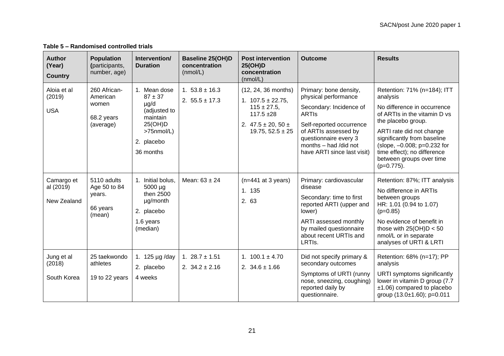| <b>Author</b><br>(Year)<br><b>Country</b> | <b>Population</b><br>(participants,<br>number, age)          | Intervention/<br><b>Duration</b>                                                                                       | <b>Baseline 25(OH)D</b><br>concentration<br>(mmol/L) | <b>Post intervention</b><br>25(OH)D<br>concentration<br>(nmol/L)                                                                        | <b>Outcome</b>                                                                                                                                                                                                                 | <b>Results</b>                                                                                                                                                                                                                                                                                     |
|-------------------------------------------|--------------------------------------------------------------|------------------------------------------------------------------------------------------------------------------------|------------------------------------------------------|-----------------------------------------------------------------------------------------------------------------------------------------|--------------------------------------------------------------------------------------------------------------------------------------------------------------------------------------------------------------------------------|----------------------------------------------------------------------------------------------------------------------------------------------------------------------------------------------------------------------------------------------------------------------------------------------------|
| Aloia et al<br>(2019)<br><b>USA</b>       | 260 African-<br>American<br>women<br>68.2 years<br>(average) | 1. Mean dose<br>$87 + 37$<br>$\mu$ g/d<br>(adjusted to<br>maintain<br>25(OH)D<br>>75nmol/L)<br>2. placebo<br>36 months | 1. $53.8 \pm 16.3$<br>2. $55.5 \pm 17.3$             | (12, 24, 36 months)<br>1. $107.5 \pm 22.75$ ,<br>$115 \pm 27.5$ ,<br>$117.5 + 28$<br>2. $47.5 \pm 20, 50 \pm 1$<br>19.75, $52.5 \pm 25$ | Primary: bone density,<br>physical performance<br>Secondary: Incidence of<br><b>ARTIS</b><br>Self-reported occurrence<br>of ARTIs assessed by<br>questionnaire every 3<br>months - had /did not<br>have ARTI since last visit) | Retention: 71% (n=184); ITT<br>analysis<br>No difference in occurrence<br>of ARTIs in the vitamin D vs<br>the placebo group.<br>ARTI rate did not change<br>significantly from baseline<br>(slope, -0.008; p=0.232 for<br>time effect); no difference<br>between groups over time<br>$(p=0.775)$ . |
| Camargo et<br>al (2019)<br>New Zealand    | 5110 adults<br>Age 50 to 84<br>years.<br>66 years<br>(mean)  | 1. Initial bolus,<br>5000 µg<br>then 2500<br>µg/month<br>2. placebo<br>1.6 years<br>(median)                           | Mean: $63 \pm 24$                                    | $(n=441$ at 3 years)<br>1. 135<br>2. 63                                                                                                 | Primary: cardiovascular<br>disease<br>Secondary: time to first<br>reported ARTI (upper and<br>lower)<br>ARTI assessed monthly<br>by mailed questionnaire<br>about recent URTIs and<br>LRTIs.                                   | Retention: 87%; ITT analysis<br>No difference in ARTIs<br>between groups<br>HR: 1.01 (0.94 to 1.07)<br>$(p=0.85)$<br>No evidence of benefit in<br>those with $25(OH)D < 50$<br>nmol/L or in separate<br>analyses of URTI & LRTI                                                                    |
| Jung et al<br>(2018)<br>South Korea       | 25 taekwondo<br>athletes<br>19 to 22 years                   | 1. 125 µg /day<br>2. placebo<br>4 weeks                                                                                | 1. $28.7 \pm 1.51$<br>2. $34.2 \pm 2.16$             | 1. $100.1 \pm 4.70$<br>2. $34.6 \pm 1.66$                                                                                               | Did not specify primary &<br>secondary outcomes<br>Symptoms of URTI (runny<br>nose, sneezing, coughing)<br>reported daily by<br>questionnaire.                                                                                 | Retention: 68% (n=17); PP<br>analysis<br>URTI symptoms significantly<br>lower in vitamin D group (7.7)<br>$±1.06$ ) compared to placebo<br>group $(13.0 \pm 1.60)$ ; p=0.011                                                                                                                       |

**Table 5 – Randomised controlled trials**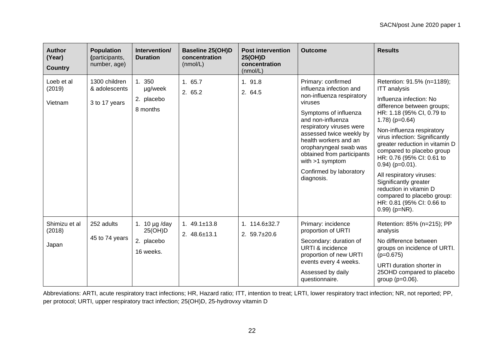| <b>Author</b><br>(Year)<br><b>Country</b> | <b>Population</b><br>(participants,<br>number, age) | Intervention/<br><b>Duration</b>                         | <b>Baseline 25(OH)D</b><br>concentration<br>(mmol/L) | <b>Post intervention</b><br>25(OH)D<br>concentration<br>(mmol/L) | <b>Outcome</b>                                                                                                                                                                                                                                                                                                                             | <b>Results</b>                                                                                                                                                                                                                                                                                                                                                                                                                                                                                                      |
|-------------------------------------------|-----------------------------------------------------|----------------------------------------------------------|------------------------------------------------------|------------------------------------------------------------------|--------------------------------------------------------------------------------------------------------------------------------------------------------------------------------------------------------------------------------------------------------------------------------------------------------------------------------------------|---------------------------------------------------------------------------------------------------------------------------------------------------------------------------------------------------------------------------------------------------------------------------------------------------------------------------------------------------------------------------------------------------------------------------------------------------------------------------------------------------------------------|
| Loeb et al<br>(2019)<br>Vietnam           | 1300 children<br>& adolescents<br>3 to 17 years     | 1. 350<br>µg/week<br>2. placebo<br>8 months              | 1.65.7<br>2. 65.2                                    | 1. 91.8<br>2. 64.5                                               | Primary: confirmed<br>influenza infection and<br>non-influenza respiratory<br>viruses<br>Symptoms of influenza<br>and non-influenza<br>respiratory viruses were<br>assessed twice weekly by<br>health workers and an<br>oropharyngeal swab was<br>obtained from participants<br>with $>1$ symptom<br>Confirmed by laboratory<br>diagnosis. | Retention: 91.5% (n=1189);<br><b>ITT</b> analysis<br>Influenza infection: No<br>difference between groups;<br>HR: 1.18 (95% CI, 0.79 to<br>$1.78$ ) (p=0.64)<br>Non-influenza respiratory<br>virus infection: Significantly<br>greater reduction in vitamin D<br>compared to placebo group<br>HR: 0.76 (95% CI: 0.61 to<br>$0.94$ ) ( $p=0.01$ ).<br>All respiratory viruses:<br>Significantly greater<br>reduction in vitamin D<br>compared to placebo group:<br>HR: 0.81 (95% CI: 0.66 to<br>$0.99$ ) ( $p=NR$ ). |
| Shimizu et al<br>(2018)<br>Japan          | 252 adults<br>45 to 74 years                        | 1. 10 $\mu$ g /day<br>25(OH)D<br>2. placebo<br>16 weeks. | 1. $49.1 \pm 13.8$<br>2. $48.6 \pm 13.1$             | 1. $114.6 \pm 32.7$<br>2. $59.7 \pm 20.6$                        | Primary: incidence<br>proportion of URTI<br>Secondary: duration of<br><b>URTI &amp; incidence</b><br>proportion of new URTI<br>events every 4 weeks.<br>Assessed by daily<br>questionnaire.                                                                                                                                                | Retention: 85% (n=215); PP<br>analysis<br>No difference between<br>groups on incidence of URTI.<br>$(p=0.675)$<br>URTI duration shorter in<br>25OHD compared to placebo<br>group $(p=0.06)$ .                                                                                                                                                                                                                                                                                                                       |

Abbreviations: ARTI, acute respiratory tract infections; HR, Hazard ratio; ITT, intention to treat; LRTI, lower respiratory tract infection; NR, not reported; PP, per protocol; URTI, upper respiratory tract infection; 25(OH)D, 25-hydrovxy vitamin D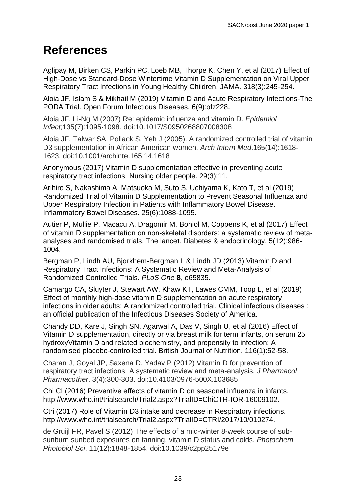## <span id="page-22-0"></span>**References**

Aglipay M, Birken CS, Parkin PC, Loeb MB, Thorpe K, Chen Y, et al (2017) Effect of High-Dose vs Standard-Dose Wintertime Vitamin D Supplementation on Viral Upper Respiratory Tract Infections in Young Healthy Children. JAMA. 318(3):245-254.

Aloia JF, Islam S & Mikhail M (2019) Vitamin D and Acute Respiratory Infections-The PODA Trial. Open Forum Infectious Diseases. 6(9):ofz228.

Aloia JF, Li-Ng M (2007) Re: epidemic influenza and vitamin D. *Epidemiol Infect*;135(7):1095‐1098. doi:10.1017/S0950268807008308

Aloia JF, Talwar SA, Pollack S, Yeh J (2005). A randomized controlled trial of vitamin D3 supplementation in African American women. *Arch Intern Med*.165(14):1618‐ 1623. doi:10.1001/archinte.165.14.1618

Anonymous (2017) Vitamin D supplementation effective in preventing acute respiratory tract infections. Nursing older people. 29(3):11.

Arihiro S, Nakashima A, Matsuoka M, Suto S, Uchiyama K, Kato T, et al (2019) Randomized Trial of Vitamin D Supplementation to Prevent Seasonal Influenza and Upper Respiratory Infection in Patients with Inflammatory Bowel Disease. Inflammatory Bowel Diseases. 25(6):1088-1095.

Autier P, Mullie P, Macacu A, Dragomir M, Boniol M, Coppens K, et al (2017) Effect of vitamin D supplementation on non-skeletal disorders: a systematic review of metaanalyses and randomised trials. The lancet. Diabetes & endocrinology. 5(12):986- 1004.

Bergman P, Lindh AU, Bjorkhem-Bergman L & Lindh JD (2013) Vitamin D and Respiratory Tract Infections: A Systematic Review and Meta-Analysis of Randomized Controlled Trials. *PLoS One* **8**, e65835.

Camargo CA, Sluyter J, Stewart AW, Khaw KT, Lawes CMM, Toop L, et al (2019) Effect of monthly high-dose vitamin D supplementation on acute respiratory infections in older adults: A randomized controlled trial. Clinical infectious diseases : an official publication of the Infectious Diseases Society of America.

Chandy DD, Kare J, Singh SN, Agarwal A, Das V, Singh U, et al (2016) Effect of Vitamin D supplementation, directly or via breast milk for term infants, on serum 25 hydroxyVitamin D and related biochemistry, and propensity to infection: A randomised placebo-controlled trial. British Journal of Nutrition. 116(1):52-58.

Charan J, Goyal JP, Saxena D, Yadav P (2012) Vitamin D for prevention of respiratory tract infections: A systematic review and meta-analysis. *J Pharmacol Pharmacother*. 3(4):300‐303. doi:10.4103/0976-500X.103685

Chi CI (2016) Preventive effects of vitamin D on seasonal influenza in infants. http://www.who.int/trialsearch/Trial2.aspx?TrialID=ChiCTR-IOR-16009102.

Ctri (2017) Role of Vitamin D3 intake and decrease in Respiratory infections. http://www.who.int/trialsearch/Trial2.aspx?TrialID=CTRI/2017/10/010274.

de Gruijl FR, Pavel S (2012) The effects of a mid-winter 8-week course of subsunburn sunbed exposures on tanning, vitamin D status and colds. *Photochem Photobiol Sci*. 11(12):1848‐1854. doi:10.1039/c2pp25179e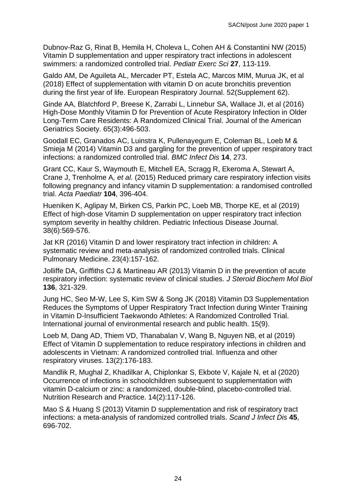Dubnov-Raz G, Rinat B, Hemila H, Choleva L, Cohen AH & Constantini NW (2015) Vitamin D supplementation and upper respiratory tract infections in adolescent swimmers: a randomized controlled trial. *Pediatr Exerc Sci* **27**, 113-119.

Galdo AM, De Aguileta AL, Mercader PT, Estela AC, Marcos MIM, Murua JK, et al (2018) Effect of supplementation with vitamin D on acute bronchitis prevention during the first year of life. European Respiratory Journal. 52(Supplement 62).

Ginde AA, Blatchford P, Breese K, Zarrabi L, Linnebur SA, Wallace JI, et al (2016) High-Dose Monthly Vitamin D for Prevention of Acute Respiratory Infection in Older Long-Term Care Residents: A Randomized Clinical Trial. Journal of the American Geriatrics Society. 65(3):496-503.

Goodall EC, Granados AC, Luinstra K, Pullenayegum E, Coleman BL, Loeb M & Smieja M (2014) Vitamin D3 and gargling for the prevention of upper respiratory tract infections: a randomized controlled trial. *BMC Infect Dis* **14**, 273.

Grant CC, Kaur S, Waymouth E, Mitchell EA, Scragg R, Ekeroma A, Stewart A, Crane J, Trenholme A*, et al.* (2015) Reduced primary care respiratory infection visits following pregnancy and infancy vitamin D supplementation: a randomised controlled trial. *Acta Paediatr* **104**, 396-404.

Hueniken K, Aglipay M, Birken CS, Parkin PC, Loeb MB, Thorpe KE, et al (2019) Effect of high-dose Vitamin D supplementation on upper respiratory tract infection symptom severity in healthy children. Pediatric Infectious Disease Journal. 38(6):569-576.

Jat KR (2016) Vitamin D and lower respiratory tract infection in children: A systematic review and meta-analysis of randomized controlled trials. Clinical Pulmonary Medicine. 23(4):157-162.

Jolliffe DA, Griffiths CJ & Martineau AR (2013) Vitamin D in the prevention of acute respiratory infection: systematic review of clinical studies. *J Steroid Biochem Mol Biol* **136**, 321-329.

Jung HC, Seo M-W, Lee S, Kim SW & Song JK (2018) Vitamin D3 Supplementation Reduces the Symptoms of Upper Respiratory Tract Infection during Winter Training in Vitamin D-Insufficient Taekwondo Athletes: A Randomized Controlled Trial. International journal of environmental research and public health. 15(9).

Loeb M, Dang AD, Thiem VD, Thanabalan V, Wang B, Nguyen NB, et al (2019) Effect of Vitamin D supplementation to reduce respiratory infections in children and adolescents in Vietnam: A randomized controlled trial. Influenza and other respiratory viruses. 13(2):176-183.

Mandlik R, Mughal Z, Khadilkar A, Chiplonkar S, Ekbote V, Kajale N, et al (2020) Occurrence of infections in schoolchildren subsequent to supplementation with vitamin D-calcium or zinc: a randomized, double-blind, placebo-controlled trial. Nutrition Research and Practice. 14(2):117-126.

Mao S & Huang S (2013) Vitamin D supplementation and risk of respiratory tract infections: a meta-analysis of randomized controlled trials. *Scand J Infect Dis* **45**, 696-702.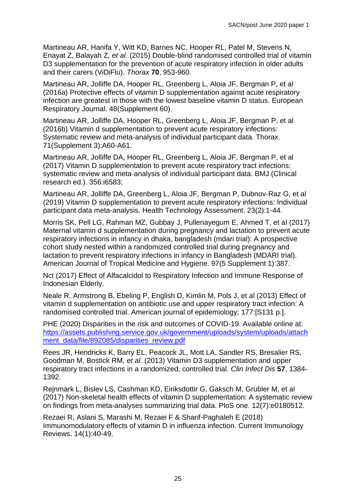Martineau AR, Hanifa Y, Witt KD, Barnes NC, Hooper RL, Patel M, Stevens N, Enayat Z, Balayah Z*, et al.* (2015) Double-blind randomised controlled trial of vitamin D3 supplementation for the prevention of acute respiratory infection in older adults and their carers (ViDiFlu). *Thorax* **70**, 953-960.

Martineau AR, Jolliffe DA, Hooper RL, Greenberg L, Aloia JF, Bergman P, et al (2016a) Protective effects of vitamin D supplementation against acute respiratory infection are greatest in those with the lowest baseline vitamin D status. European Respiratory Journal. 48(Supplement 60).

Martineau AR, Jolliffe DA, Hooper RL, Greenberg L, Aloia JF, Bergman P, et al (2016b) Vitamin d supplementation to prevent acute respiratory infections: Systematic review and meta-analysis of individual participant data. Thorax. 71(Supplement 3):A60-A61.

Martineau AR, Jolliffe DA, Hooper RL, Greenberg L, Aloia JF, Bergman P, et al (2017) Vitamin D supplementation to prevent acute respiratory tract infections: systematic review and meta-analysis of individual participant data. BMJ (Clinical research ed.). 356:i6583;

Martineau AR, Jolliffe DA, Greenberg L, Aloia JF, Bergman P, Dubnov-Raz G, et al (2019) Vitamin D supplementation to prevent acute respiratory infections: Individual participant data meta-analysis. Health Technology Assessment. 23(2):1-44.

Morris SK, Pell LG, Rahman MZ, Gubbay J, Pullenayegum E, Ahmed T, et al (2017) Maternal vitamin d supplementation during pregnancy and lactation to prevent acute respiratory infections in infancy in dhaka, bangladesh (mdari trial): A prospective cohort study nested within a randomized controlled trial during pregnancy and lactation to prevent respiratory infections in infancy in Bangladesh (MDARI trial). American Journal of Tropical Medicine and Hygiene. 97(5 Supplement 1):387.

Nct (2017) Effect of Alfacalcidol to Respiratory Infection and Immune Response of Indonesian Elderly.

Neale R, Armstrong B, Ebeling P, English D, Kimlin M, Pols J, et al (2013) Effect of vitamin d supplementation on antibiotic use and upper respiratory tract infection: A randomised controlled trial. American journal of epidemiology; 177:[S131 p.].

PHE (2020) Disparities in the risk and outcomes of COVID-19. Available online at: [https://assets.publishing.service.gov.uk/government/uploads/system/uploads/attach](https://assets.publishing.service.gov.uk/government/uploads/system/uploads/attachment_data/file/892085/disparities_review.pdf) [ment\\_data/file/892085/disparities\\_review.pdf](https://assets.publishing.service.gov.uk/government/uploads/system/uploads/attachment_data/file/892085/disparities_review.pdf)

Rees JR, Hendricks K, Barry EL, Peacock JL, Mott LA, Sandler RS, Bresalier RS, Goodman M, Bostick RM*, et al.* (2013) Vitamin D3 supplementation and upper respiratory tract infections in a randomized, controlled trial. *Clin Infect Dis* **57**, 1384- 1392.

Rejnmark L, Bislev LS, Cashman KD, Eiriksdottir G, Gaksch M, Grubler M, et al (2017) Non-skeletal health effects of vitamin D supplementation: A systematic review on findings from meta-analyses summarizing trial data. PloS one. 12(7):e0180512.

Rezaei R, Aslani S, Marashi M, Rezaei F & Sharif-Paghaleh E (2018) Immunomodulatory effects of vitamin D in influenza infection. Current Immunology Reviews. 14(1):40-49.